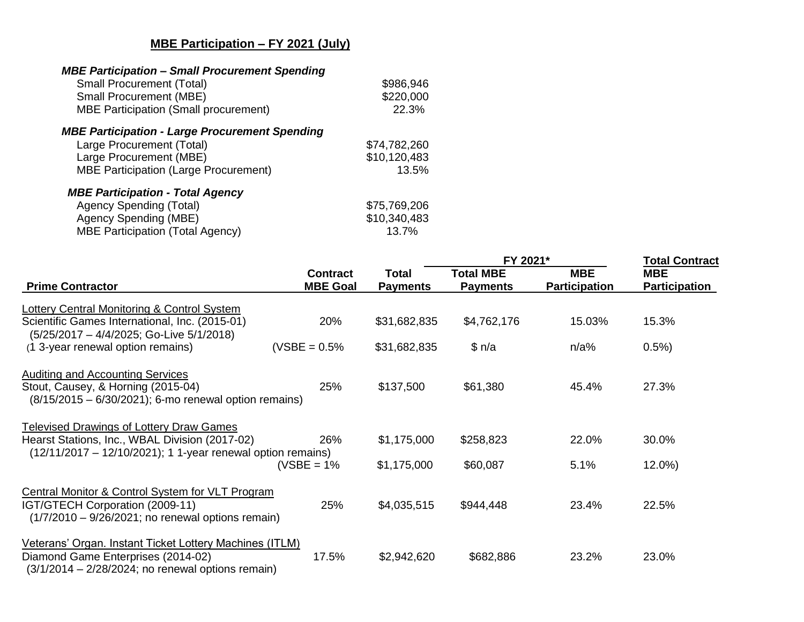## **MBE Participation – FY 2021 (July)**

| <b>MBE Participation - Small Procurement Spending</b><br><b>Small Procurement (Total)</b><br><b>Small Procurement (MBE)</b><br><b>MBE Participation (Small procurement)</b> | \$986,946<br>\$220,000<br>22.3% |
|-----------------------------------------------------------------------------------------------------------------------------------------------------------------------------|---------------------------------|
| <b>MBE Participation - Large Procurement Spending</b>                                                                                                                       |                                 |
| Large Procurement (Total)                                                                                                                                                   | \$74,782,260                    |
| Large Procurement (MBE)                                                                                                                                                     | \$10,120,483                    |
| <b>MBE Participation (Large Procurement)</b>                                                                                                                                | 13.5%                           |
| <b>MBE Participation - Total Agency</b>                                                                                                                                     |                                 |
| <b>Agency Spending (Total)</b>                                                                                                                                              | \$75,769,206                    |
| Agency Spending (MBE)                                                                                                                                                       | \$10,340,483                    |
| <b>MBE Participation (Total Agency)</b>                                                                                                                                     | 13.7%                           |

|                                                                                                                                                      |                                    | <b>Total</b><br><b>Payments</b> | FY 2021*                            |                                    | <b>Total Contract</b>       |
|------------------------------------------------------------------------------------------------------------------------------------------------------|------------------------------------|---------------------------------|-------------------------------------|------------------------------------|-----------------------------|
| <b>Prime Contractor</b>                                                                                                                              | <b>Contract</b><br><b>MBE Goal</b> |                                 | <b>Total MBE</b><br><b>Payments</b> | <b>MBE</b><br><b>Participation</b> | <b>MBE</b><br>Participation |
| Lottery Central Monitoring & Control System                                                                                                          |                                    |                                 |                                     |                                    |                             |
| Scientific Games International, Inc. (2015-01)<br>(5/25/2017 - 4/4/2025; Go-Live 5/1/2018)                                                           | 20%                                | \$31,682,835                    | \$4,762,176                         | 15.03%                             | 15.3%                       |
| (1 3-year renewal option remains)                                                                                                                    | $(VSBE = 0.5%$                     | \$31,682,835                    | \$n/a                               | $n/a\%$                            | 0.5%                        |
| <b>Auditing and Accounting Services</b><br>Stout, Causey, & Horning (2015-04)<br>$(8/15/2015 - 6/30/2021)$ ; 6-mo renewal option remains)            | 25%                                | \$137,500                       | \$61,380                            | 45.4%                              | 27.3%                       |
| <b>Televised Drawings of Lottery Draw Games</b>                                                                                                      |                                    |                                 |                                     |                                    |                             |
| Hearst Stations, Inc., WBAL Division (2017-02)<br>(12/11/2017 – 12/10/2021); 1 1-year renewal option remains)                                        | 26%                                | \$1,175,000                     | \$258,823                           | 22.0%                              | 30.0%                       |
|                                                                                                                                                      | (VSBE = $1\%$                      | \$1,175,000                     | \$60,087                            | 5.1%                               | $12.0\%$                    |
| Central Monitor & Control System for VLT Program<br>IGT/GTECH Corporation (2009-11)<br>$(1/7/2010 - 9/26/2021)$ ; no renewal options remain)         | 25%                                | \$4,035,515                     | \$944,448                           | 23.4%                              | 22.5%                       |
| Veterans' Organ. Instant Ticket Lottery Machines (ITLM)<br>Diamond Game Enterprises (2014-02)<br>$(3/1/2014 - 2/28/2024;$ no renewal options remain) | 17.5%                              | \$2,942,620                     | \$682,886                           | 23.2%                              | 23.0%                       |